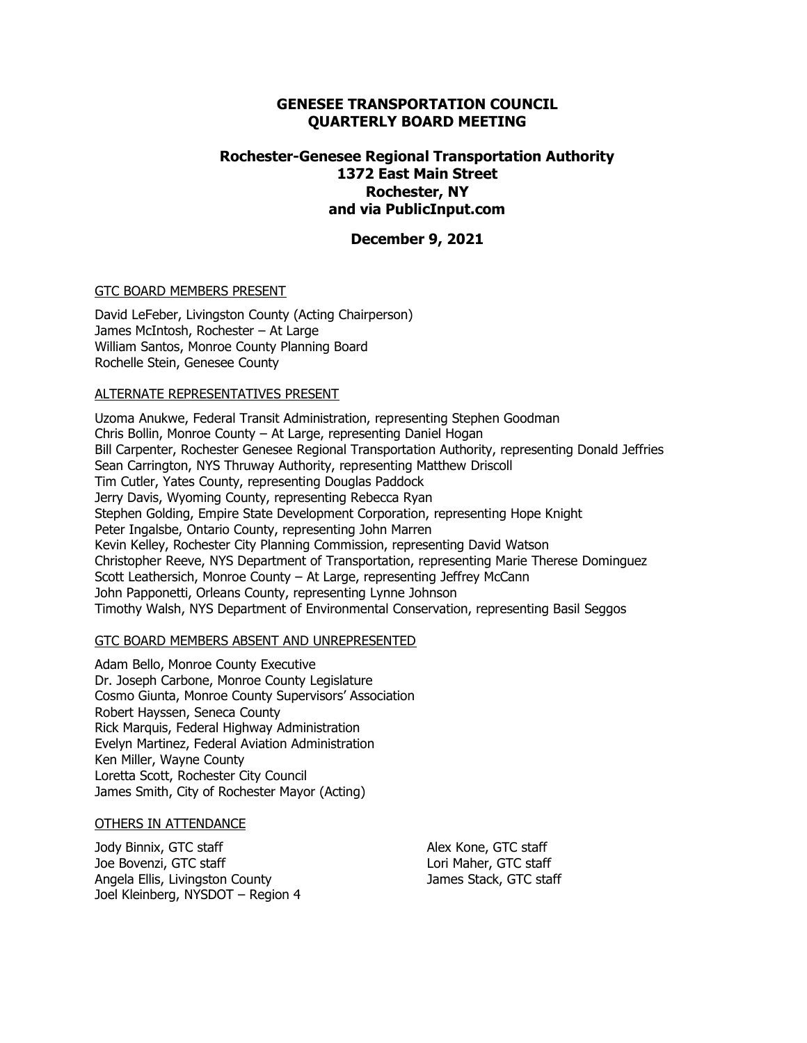#### **GENESEE TRANSPORTATION COUNCIL QUARTERLY BOARD MEETING**

### **Rochester-Genesee Regional Transportation Authority 1372 East Main Street Rochester, NY and via PublicInput.com**

#### **December 9, 2021**

#### GTC BOARD MEMBERS PRESENT

David LeFeber, Livingston County (Acting Chairperson) James McIntosh, Rochester – At Large William Santos, Monroe County Planning Board Rochelle Stein, Genesee County

#### ALTERNATE REPRESENTATIVES PRESENT

Uzoma Anukwe, Federal Transit Administration, representing Stephen Goodman Chris Bollin, Monroe County – At Large, representing Daniel Hogan Bill Carpenter, Rochester Genesee Regional Transportation Authority, representing Donald Jeffries Sean Carrington, NYS Thruway Authority, representing Matthew Driscoll Tim Cutler, Yates County, representing Douglas Paddock Jerry Davis, Wyoming County, representing Rebecca Ryan Stephen Golding, Empire State Development Corporation, representing Hope Knight Peter Ingalsbe, Ontario County, representing John Marren Kevin Kelley, Rochester City Planning Commission, representing David Watson Christopher Reeve, NYS Department of Transportation, representing Marie Therese Dominguez Scott Leathersich, Monroe County – At Large, representing Jeffrey McCann John Papponetti, Orleans County, representing Lynne Johnson Timothy Walsh, NYS Department of Environmental Conservation, representing Basil Seggos

#### GTC BOARD MEMBERS ABSENT AND UNREPRESENTED

Adam Bello, Monroe County Executive Dr. Joseph Carbone, Monroe County Legislature Cosmo Giunta, Monroe County Supervisors' Association Robert Hayssen, Seneca County Rick Marquis, Federal Highway Administration Evelyn Martinez, Federal Aviation Administration Ken Miller, Wayne County Loretta Scott, Rochester City Council James Smith, City of Rochester Mayor (Acting)

#### OTHERS IN ATTENDANCE

Jody Binnix, GTC staff Joe Bovenzi, GTC staff Angela Ellis, Livingston County Joel Kleinberg, NYSDOT – Region 4 Alex Kone, GTC staff Lori Maher, GTC staff James Stack, GTC staff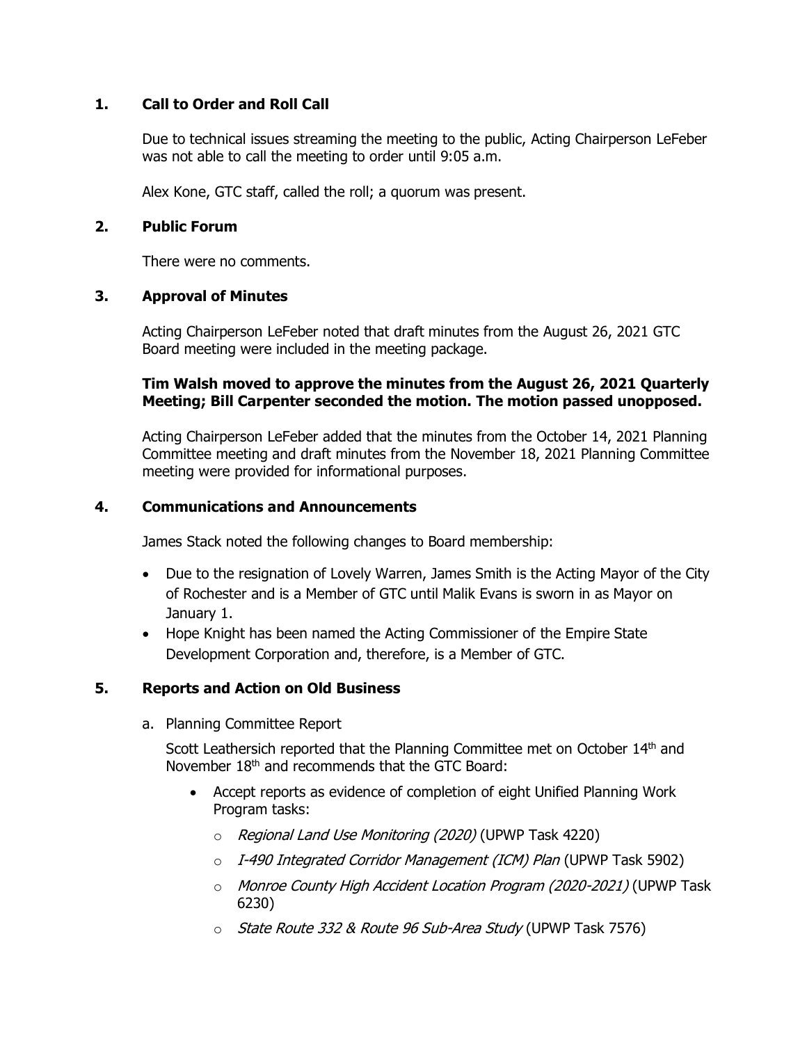# **1. Call to Order and Roll Call**

Due to technical issues streaming the meeting to the public, Acting Chairperson LeFeber was not able to call the meeting to order until 9:05 a.m.

Alex Kone, GTC staff, called the roll; a quorum was present.

# **2. Public Forum**

There were no comments.

# **3. Approval of Minutes**

Acting Chairperson LeFeber noted that draft minutes from the August 26, 2021 GTC Board meeting were included in the meeting package.

# **Tim Walsh moved to approve the minutes from the August 26, 2021 Quarterly Meeting; Bill Carpenter seconded the motion. The motion passed unopposed.**

Acting Chairperson LeFeber added that the minutes from the October 14, 2021 Planning Committee meeting and draft minutes from the November 18, 2021 Planning Committee meeting were provided for informational purposes.

# **4. Communications and Announcements**

James Stack noted the following changes to Board membership:

- Due to the resignation of Lovely Warren, James Smith is the Acting Mayor of the City of Rochester and is a Member of GTC until Malik Evans is sworn in as Mayor on January 1.
- Hope Knight has been named the Acting Commissioner of the Empire State Development Corporation and, therefore, is a Member of GTC.

# **5. Reports and Action on Old Business**

a. Planning Committee Report

Scott Leathersich reported that the Planning Committee met on October 14<sup>th</sup> and November 18<sup>th</sup> and recommends that the GTC Board:

- Accept reports as evidence of completion of eight Unified Planning Work Program tasks:
	- o Regional Land Use Monitoring (2020) (UPWP Task 4220)
	- $\circ$  I-490 Integrated Corridor Management (ICM) Plan (UPWP Task 5902)
	- o Monroe County High Accident Location Program (2020-2021) (UPWP Task 6230)
	- o State Route 332 & Route 96 Sub-Area Study (UPWP Task 7576)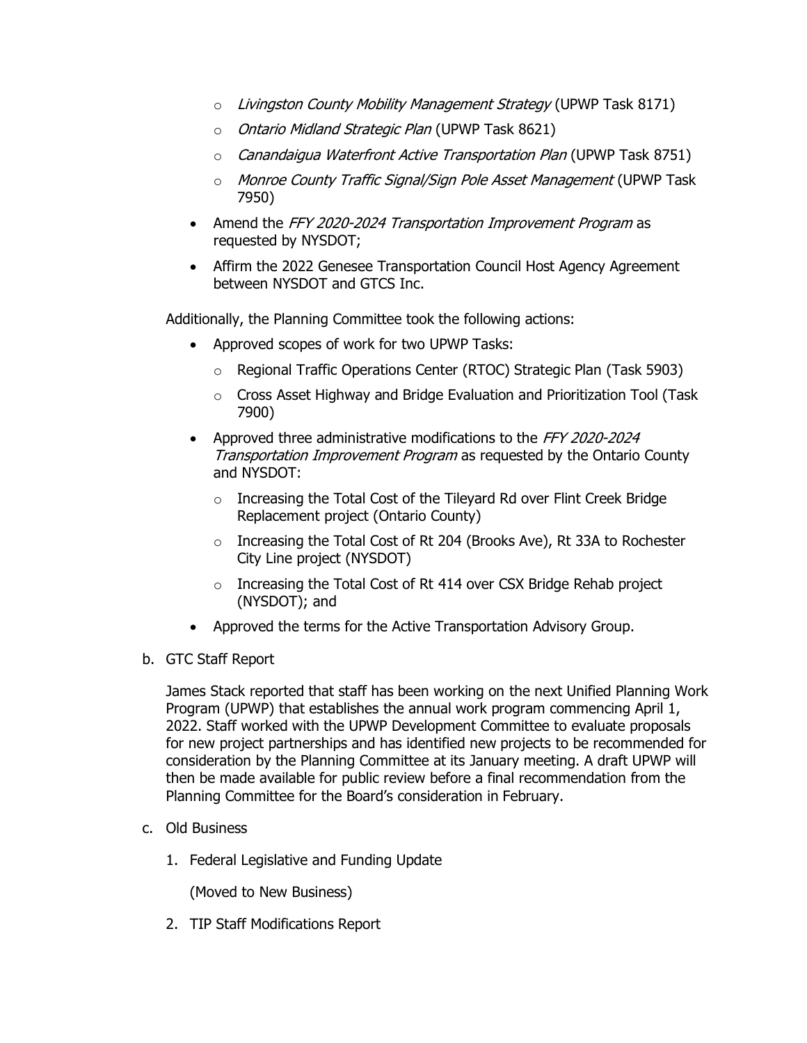- o Livingston County Mobility Management Strategy (UPWP Task 8171)
- o Ontario Midland Strategic Plan (UPWP Task 8621)
- $\circ$  *Canandaigua Waterfront Active Transportation Plan* (UPWP Task 8751)
- o Monroe County Traffic Signal/Sign Pole Asset Management (UPWP Task 7950)
- Amend the FFY 2020-2024 Transportation Improvement Program as requested by NYSDOT;
- Affirm the 2022 Genesee Transportation Council Host Agency Agreement between NYSDOT and GTCS Inc.

Additionally, the Planning Committee took the following actions:

- Approved scopes of work for two UPWP Tasks:
	- o Regional Traffic Operations Center (RTOC) Strategic Plan (Task 5903)
	- o Cross Asset Highway and Bridge Evaluation and Prioritization Tool (Task 7900)
- Approved three administrative modifications to the FFY 2020-2024 Transportation Improvement Program as requested by the Ontario County and NYSDOT:
	- o Increasing the Total Cost of the Tileyard Rd over Flint Creek Bridge Replacement project (Ontario County)
	- o Increasing the Total Cost of Rt 204 (Brooks Ave), Rt 33A to Rochester City Line project (NYSDOT)
	- o Increasing the Total Cost of Rt 414 over CSX Bridge Rehab project (NYSDOT); and
- Approved the terms for the Active Transportation Advisory Group.
- b. GTC Staff Report

James Stack reported that staff has been working on the next Unified Planning Work Program (UPWP) that establishes the annual work program commencing April 1, 2022. Staff worked with the UPWP Development Committee to evaluate proposals for new project partnerships and has identified new projects to be recommended for consideration by the Planning Committee at its January meeting. A draft UPWP will then be made available for public review before a final recommendation from the Planning Committee for the Board's consideration in February.

- c. Old Business
	- 1. Federal Legislative and Funding Update

(Moved to New Business)

2. TIP Staff Modifications Report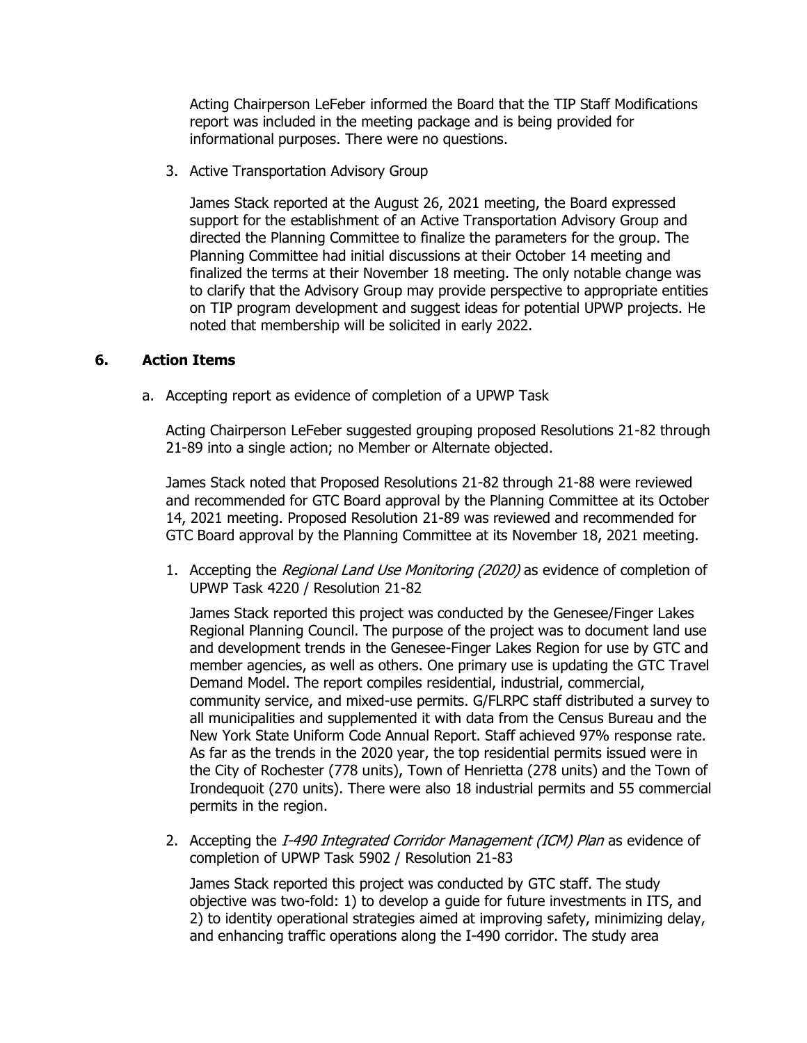Acting Chairperson LeFeber informed the Board that the TIP Staff Modifications report was included in the meeting package and is being provided for informational purposes. There were no questions.

3. Active Transportation Advisory Group

James Stack reported at the August 26, 2021 meeting, the Board expressed support for the establishment of an Active Transportation Advisory Group and directed the Planning Committee to finalize the parameters for the group. The Planning Committee had initial discussions at their October 14 meeting and finalized the terms at their November 18 meeting. The only notable change was to clarify that the Advisory Group may provide perspective to appropriate entities on TIP program development and suggest ideas for potential UPWP projects. He noted that membership will be solicited in early 2022.

### **6. Action Items**

a. Accepting report as evidence of completion of a UPWP Task

Acting Chairperson LeFeber suggested grouping proposed Resolutions 21-82 through 21-89 into a single action; no Member or Alternate objected.

James Stack noted that Proposed Resolutions 21-82 through 21-88 were reviewed and recommended for GTC Board approval by the Planning Committee at its October 14, 2021 meeting. Proposed Resolution 21-89 was reviewed and recommended for GTC Board approval by the Planning Committee at its November 18, 2021 meeting.

1. Accepting the Regional Land Use Monitoring (2020) as evidence of completion of UPWP Task 4220 / Resolution 21-82

James Stack reported this project was conducted by the Genesee/Finger Lakes Regional Planning Council. The purpose of the project was to document land use and development trends in the Genesee-Finger Lakes Region for use by GTC and member agencies, as well as others. One primary use is updating the GTC Travel Demand Model. The report compiles residential, industrial, commercial, community service, and mixed-use permits. G/FLRPC staff distributed a survey to all municipalities and supplemented it with data from the Census Bureau and the New York State Uniform Code Annual Report. Staff achieved 97% response rate. As far as the trends in the 2020 year, the top residential permits issued were in the City of Rochester (778 units), Town of Henrietta (278 units) and the Town of Irondequoit (270 units). There were also 18 industrial permits and 55 commercial permits in the region.

2. Accepting the I-490 Integrated Corridor Management (ICM) Plan as evidence of completion of UPWP Task 5902 / Resolution 21-83

James Stack reported this project was conducted by GTC staff. The study objective was two-fold: 1) to develop a guide for future investments in ITS, and 2) to identity operational strategies aimed at improving safety, minimizing delay, and enhancing traffic operations along the I-490 corridor. The study area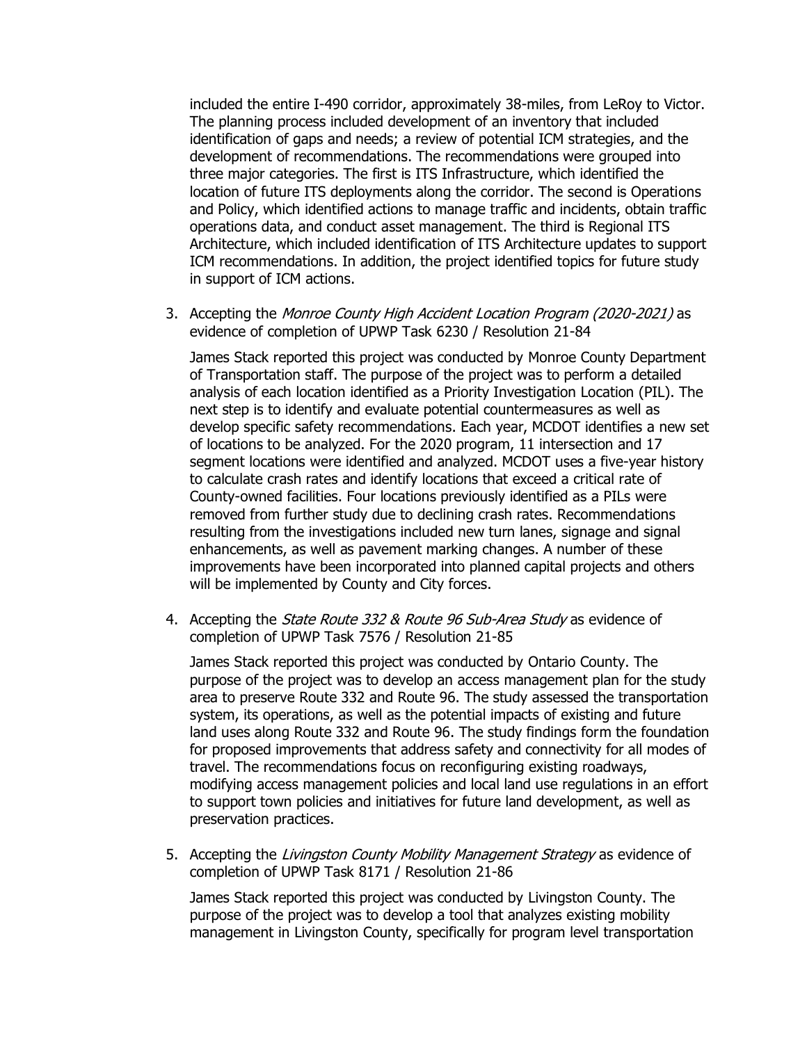included the entire I-490 corridor, approximately 38-miles, from LeRoy to Victor. The planning process included development of an inventory that included identification of gaps and needs; a review of potential ICM strategies, and the development of recommendations. The recommendations were grouped into three major categories. The first is ITS Infrastructure, which identified the location of future ITS deployments along the corridor. The second is Operations and Policy, which identified actions to manage traffic and incidents, obtain traffic operations data, and conduct asset management. The third is Regional ITS Architecture, which included identification of ITS Architecture updates to support ICM recommendations. In addition, the project identified topics for future study in support of ICM actions.

3. Accepting the Monroe County High Accident Location Program (2020-2021) as evidence of completion of UPWP Task 6230 / Resolution 21-84

James Stack reported this project was conducted by Monroe County Department of Transportation staff. The purpose of the project was to perform a detailed analysis of each location identified as a Priority Investigation Location (PIL). The next step is to identify and evaluate potential countermeasures as well as develop specific safety recommendations. Each year, MCDOT identifies a new set of locations to be analyzed. For the 2020 program, 11 intersection and 17 segment locations were identified and analyzed. MCDOT uses a five-year history to calculate crash rates and identify locations that exceed a critical rate of County-owned facilities. Four locations previously identified as a PILs were removed from further study due to declining crash rates. Recommendations resulting from the investigations included new turn lanes, signage and signal enhancements, as well as pavement marking changes. A number of these improvements have been incorporated into planned capital projects and others will be implemented by County and City forces.

4. Accepting the *State Route 332 & Route 96 Sub-Area Study* as evidence of completion of UPWP Task 7576 / Resolution 21-85

James Stack reported this project was conducted by Ontario County. The purpose of the project was to develop an access management plan for the study area to preserve Route 332 and Route 96. The study assessed the transportation system, its operations, as well as the potential impacts of existing and future land uses along Route 332 and Route 96. The study findings form the foundation for proposed improvements that address safety and connectivity for all modes of travel. The recommendations focus on reconfiguring existing roadways, modifying access management policies and local land use regulations in an effort to support town policies and initiatives for future land development, as well as preservation practices.

5. Accepting the Livingston County Mobility Management Strategy as evidence of completion of UPWP Task 8171 / Resolution 21-86

James Stack reported this project was conducted by Livingston County. The purpose of the project was to develop a tool that analyzes existing mobility management in Livingston County, specifically for program level transportation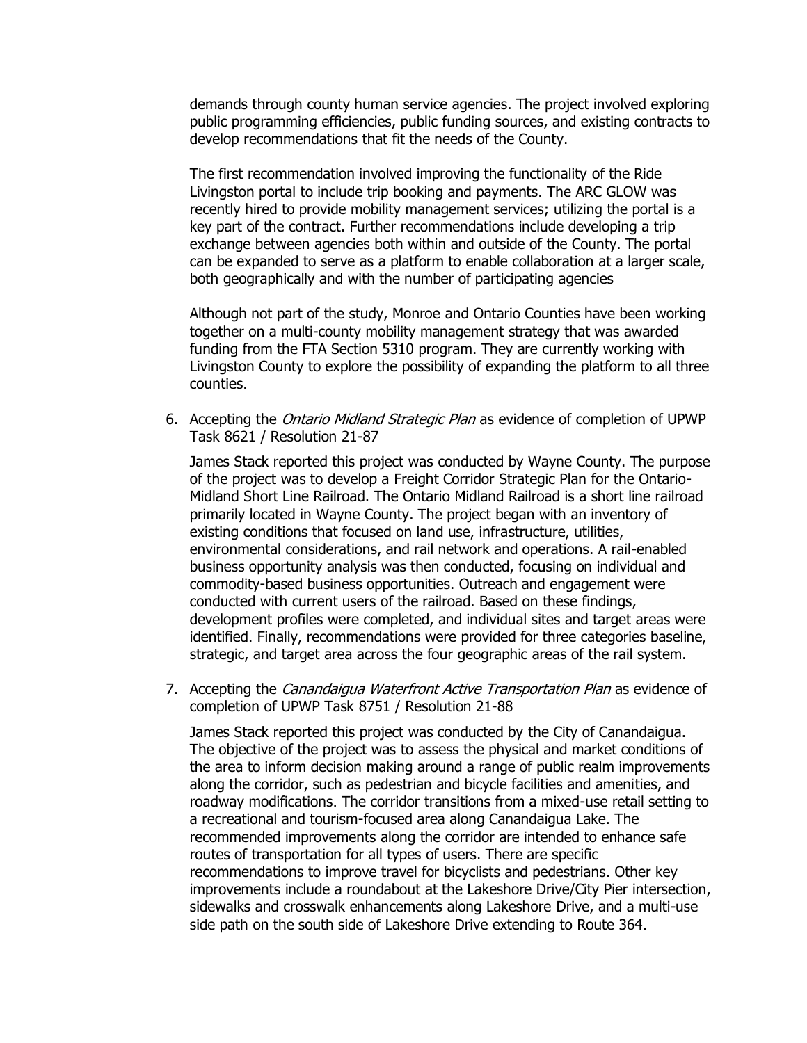demands through county human service agencies. The project involved exploring public programming efficiencies, public funding sources, and existing contracts to develop recommendations that fit the needs of the County.

The first recommendation involved improving the functionality of the Ride Livingston portal to include trip booking and payments. The ARC GLOW was recently hired to provide mobility management services; utilizing the portal is a key part of the contract. Further recommendations include developing a trip exchange between agencies both within and outside of the County. The portal can be expanded to serve as a platform to enable collaboration at a larger scale, both geographically and with the number of participating agencies

Although not part of the study, Monroe and Ontario Counties have been working together on a multi-county mobility management strategy that was awarded funding from the FTA Section 5310 program. They are currently working with Livingston County to explore the possibility of expanding the platform to all three counties.

6. Accepting the *Ontario Midland Strategic Plan* as evidence of completion of UPWP Task 8621 / Resolution 21-87

James Stack reported this project was conducted by Wayne County. The purpose of the project was to develop a Freight Corridor Strategic Plan for the Ontario-Midland Short Line Railroad. The Ontario Midland Railroad is a short line railroad primarily located in Wayne County. The project began with an inventory of existing conditions that focused on land use, infrastructure, utilities, environmental considerations, and rail network and operations. A rail-enabled business opportunity analysis was then conducted, focusing on individual and commodity-based business opportunities. Outreach and engagement were conducted with current users of the railroad. Based on these findings, development profiles were completed, and individual sites and target areas were identified. Finally, recommendations were provided for three categories baseline, strategic, and target area across the four geographic areas of the rail system.

7. Accepting the *Canandaigua Waterfront Active Transportation Plan* as evidence of completion of UPWP Task 8751 / Resolution 21-88

James Stack reported this project was conducted by the City of Canandaigua. The objective of the project was to assess the physical and market conditions of the area to inform decision making around a range of public realm improvements along the corridor, such as pedestrian and bicycle facilities and amenities, and roadway modifications. The corridor transitions from a mixed-use retail setting to a recreational and tourism-focused area along Canandaigua Lake. The recommended improvements along the corridor are intended to enhance safe routes of transportation for all types of users. There are specific recommendations to improve travel for bicyclists and pedestrians. Other key improvements include a roundabout at the Lakeshore Drive/City Pier intersection, sidewalks and crosswalk enhancements along Lakeshore Drive, and a multi-use side path on the south side of Lakeshore Drive extending to Route 364.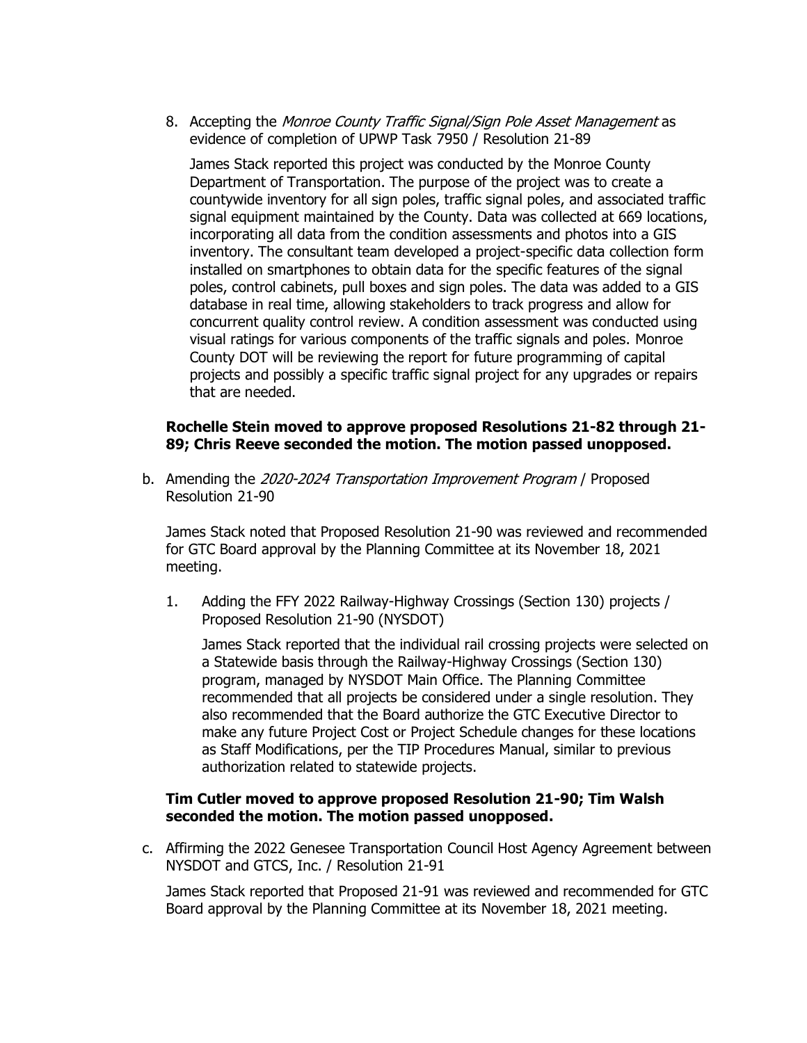8. Accepting the Monroe County Traffic Signal/Sign Pole Asset Management as evidence of completion of UPWP Task 7950 / Resolution 21-89

James Stack reported this project was conducted by the Monroe County Department of Transportation. The purpose of the project was to create a countywide inventory for all sign poles, traffic signal poles, and associated traffic signal equipment maintained by the County. Data was collected at 669 locations, incorporating all data from the condition assessments and photos into a GIS inventory. The consultant team developed a project-specific data collection form installed on smartphones to obtain data for the specific features of the signal poles, control cabinets, pull boxes and sign poles. The data was added to a GIS database in real time, allowing stakeholders to track progress and allow for concurrent quality control review. A condition assessment was conducted using visual ratings for various components of the traffic signals and poles. Monroe County DOT will be reviewing the report for future programming of capital projects and possibly a specific traffic signal project for any upgrades or repairs that are needed.

# **Rochelle Stein moved to approve proposed Resolutions 21-82 through 21- 89; Chris Reeve seconded the motion. The motion passed unopposed.**

b. Amending the 2020-2024 Transportation Improvement Program / Proposed Resolution 21-90

James Stack noted that Proposed Resolution 21-90 was reviewed and recommended for GTC Board approval by the Planning Committee at its November 18, 2021 meeting.

1. Adding the FFY 2022 Railway-Highway Crossings (Section 130) projects / Proposed Resolution 21-90 (NYSDOT)

James Stack reported that the individual rail crossing projects were selected on a Statewide basis through the Railway-Highway Crossings (Section 130) program, managed by NYSDOT Main Office. The Planning Committee recommended that all projects be considered under a single resolution. They also recommended that the Board authorize the GTC Executive Director to make any future Project Cost or Project Schedule changes for these locations as Staff Modifications, per the TIP Procedures Manual, similar to previous authorization related to statewide projects.

# **Tim Cutler moved to approve proposed Resolution 21-90; Tim Walsh seconded the motion. The motion passed unopposed.**

c. Affirming the 2022 Genesee Transportation Council Host Agency Agreement between NYSDOT and GTCS, Inc. / Resolution 21-91

James Stack reported that Proposed 21-91 was reviewed and recommended for GTC Board approval by the Planning Committee at its November 18, 2021 meeting.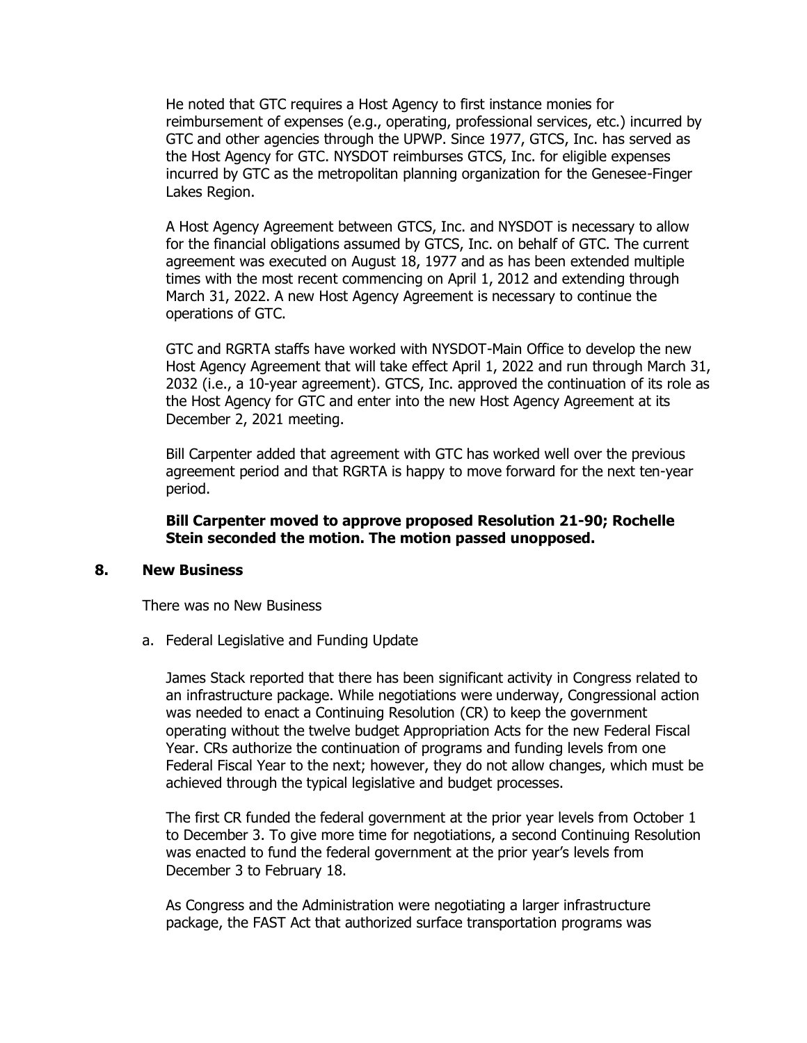He noted that GTC requires a Host Agency to first instance monies for reimbursement of expenses (e.g., operating, professional services, etc.) incurred by GTC and other agencies through the UPWP. Since 1977, GTCS, Inc. has served as the Host Agency for GTC. NYSDOT reimburses GTCS, Inc. for eligible expenses incurred by GTC as the metropolitan planning organization for the Genesee-Finger Lakes Region.

A Host Agency Agreement between GTCS, Inc. and NYSDOT is necessary to allow for the financial obligations assumed by GTCS, Inc. on behalf of GTC. The current agreement was executed on August 18, 1977 and as has been extended multiple times with the most recent commencing on April 1, 2012 and extending through March 31, 2022. A new Host Agency Agreement is necessary to continue the operations of GTC.

GTC and RGRTA staffs have worked with NYSDOT-Main Office to develop the new Host Agency Agreement that will take effect April 1, 2022 and run through March 31, 2032 (i.e., a 10-year agreement). GTCS, Inc. approved the continuation of its role as the Host Agency for GTC and enter into the new Host Agency Agreement at its December 2, 2021 meeting.

Bill Carpenter added that agreement with GTC has worked well over the previous agreement period and that RGRTA is happy to move forward for the next ten-year period.

**Bill Carpenter moved to approve proposed Resolution 21-90; Rochelle Stein seconded the motion. The motion passed unopposed.**

#### **8. New Business**

There was no New Business

a. Federal Legislative and Funding Update

James Stack reported that there has been significant activity in Congress related to an infrastructure package. While negotiations were underway, Congressional action was needed to enact a Continuing Resolution (CR) to keep the government operating without the twelve budget Appropriation Acts for the new Federal Fiscal Year. CRs authorize the continuation of programs and funding levels from one Federal Fiscal Year to the next; however, they do not allow changes, which must be achieved through the typical legislative and budget processes.

The first CR funded the federal government at the prior year levels from October 1 to December 3. To give more time for negotiations, a second Continuing Resolution was enacted to fund the federal government at the prior year's levels from December 3 to February 18.

As Congress and the Administration were negotiating a larger infrastructure package, the FAST Act that authorized surface transportation programs was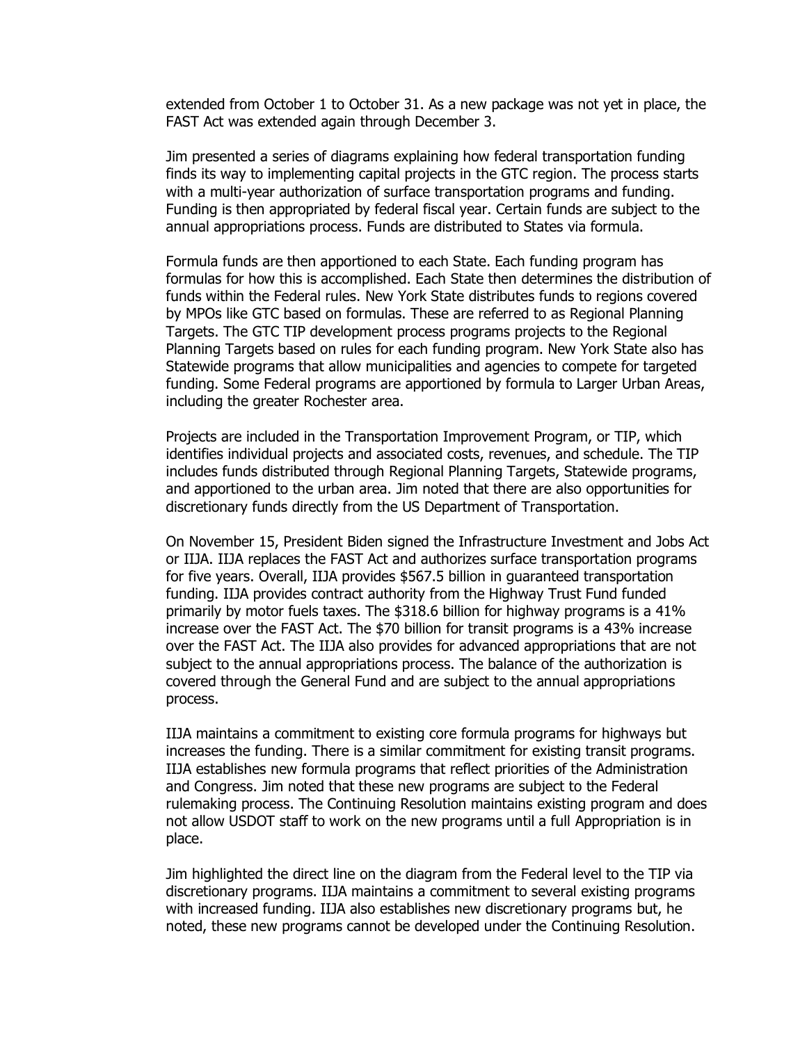extended from October 1 to October 31. As a new package was not yet in place, the FAST Act was extended again through December 3.

Jim presented a series of diagrams explaining how federal transportation funding finds its way to implementing capital projects in the GTC region. The process starts with a multi-year authorization of surface transportation programs and funding. Funding is then appropriated by federal fiscal year. Certain funds are subject to the annual appropriations process. Funds are distributed to States via formula.

Formula funds are then apportioned to each State. Each funding program has formulas for how this is accomplished. Each State then determines the distribution of funds within the Federal rules. New York State distributes funds to regions covered by MPOs like GTC based on formulas. These are referred to as Regional Planning Targets. The GTC TIP development process programs projects to the Regional Planning Targets based on rules for each funding program. New York State also has Statewide programs that allow municipalities and agencies to compete for targeted funding. Some Federal programs are apportioned by formula to Larger Urban Areas, including the greater Rochester area.

Projects are included in the Transportation Improvement Program, or TIP, which identifies individual projects and associated costs, revenues, and schedule. The TIP includes funds distributed through Regional Planning Targets, Statewide programs, and apportioned to the urban area. Jim noted that there are also opportunities for discretionary funds directly from the US Department of Transportation.

On November 15, President Biden signed the Infrastructure Investment and Jobs Act or IIJA. IIJA replaces the FAST Act and authorizes surface transportation programs for five years. Overall, IIJA provides \$567.5 billion in guaranteed transportation funding. IIJA provides contract authority from the Highway Trust Fund funded primarily by motor fuels taxes. The \$318.6 billion for highway programs is a 41% increase over the FAST Act. The \$70 billion for transit programs is a 43% increase over the FAST Act. The IIJA also provides for advanced appropriations that are not subject to the annual appropriations process. The balance of the authorization is covered through the General Fund and are subject to the annual appropriations process.

IIJA maintains a commitment to existing core formula programs for highways but increases the funding. There is a similar commitment for existing transit programs. IIJA establishes new formula programs that reflect priorities of the Administration and Congress. Jim noted that these new programs are subject to the Federal rulemaking process. The Continuing Resolution maintains existing program and does not allow USDOT staff to work on the new programs until a full Appropriation is in place.

Jim highlighted the direct line on the diagram from the Federal level to the TIP via discretionary programs. IIJA maintains a commitment to several existing programs with increased funding. IIJA also establishes new discretionary programs but, he noted, these new programs cannot be developed under the Continuing Resolution.